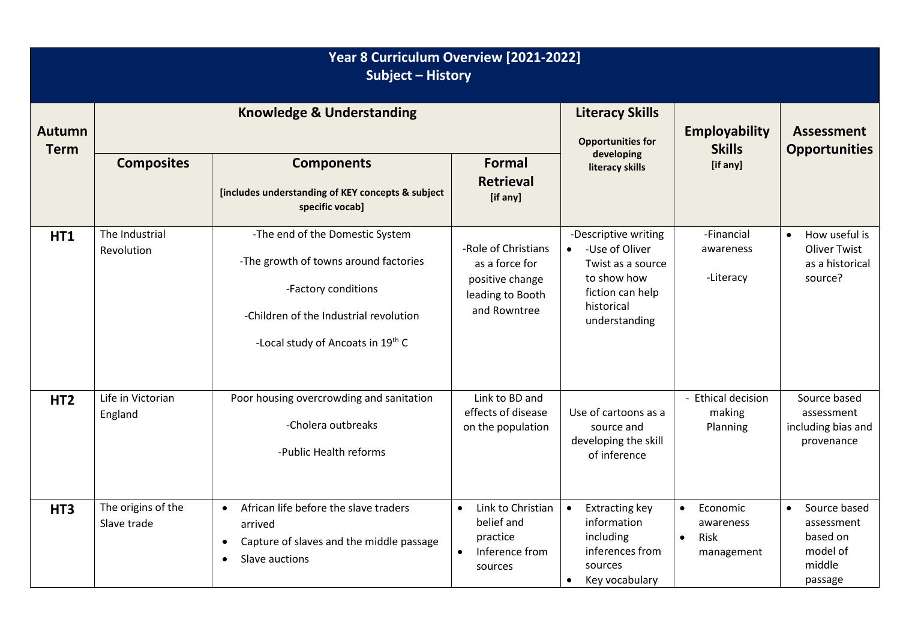| Year 8 Curriculum Overview [2021-2022]<br><b>Subject - History</b> |                                   |                                                                                                                                                                                |                                                                                                    |                                                                                                                                            |                                                                       |                                                                                      |  |  |
|--------------------------------------------------------------------|-----------------------------------|--------------------------------------------------------------------------------------------------------------------------------------------------------------------------------|----------------------------------------------------------------------------------------------------|--------------------------------------------------------------------------------------------------------------------------------------------|-----------------------------------------------------------------------|--------------------------------------------------------------------------------------|--|--|
| <b>Autumn</b><br><b>Term</b>                                       |                                   | <b>Knowledge &amp; Understanding</b>                                                                                                                                           | <b>Literacy Skills</b><br><b>Opportunities for</b>                                                 | <b>Employability</b><br><b>Skills</b>                                                                                                      | <b>Assessment</b><br><b>Opportunities</b>                             |                                                                                      |  |  |
|                                                                    | <b>Composites</b>                 | <b>Components</b><br>[includes understanding of KEY concepts & subject<br>specific vocab]                                                                                      | <b>Formal</b><br><b>Retrieval</b><br>[if any]                                                      | developing<br>literacy skills                                                                                                              | [if any]                                                              |                                                                                      |  |  |
| HT1                                                                | The Industrial<br>Revolution      | -The end of the Domestic System<br>-The growth of towns around factories<br>-Factory conditions<br>-Children of the Industrial revolution<br>-Local study of Ancoats in 19th C | -Role of Christians<br>as a force for<br>positive change<br>leading to Booth<br>and Rowntree       | -Descriptive writing<br>-Use of Oliver<br>$\bullet$<br>Twist as a source<br>to show how<br>fiction can help<br>historical<br>understanding | -Financial<br>awareness<br>-Literacy                                  | How useful is<br>$\bullet$<br><b>Oliver Twist</b><br>as a historical<br>source?      |  |  |
| HT <sub>2</sub>                                                    | Life in Victorian<br>England      | Poor housing overcrowding and sanitation<br>-Cholera outbreaks<br>-Public Health reforms                                                                                       | Link to BD and<br>effects of disease<br>on the population                                          | Use of cartoons as a<br>source and<br>developing the skill<br>of inference                                                                 | - Ethical decision<br>making<br>Planning                              | Source based<br>assessment<br>including bias and<br>provenance                       |  |  |
| HT <sub>3</sub>                                                    | The origins of the<br>Slave trade | African life before the slave traders<br>$\bullet$<br>arrived<br>Capture of slaves and the middle passage<br>$\bullet$<br>Slave auctions<br>$\bullet$                          | Link to Christian<br>$\bullet$<br>belief and<br>practice<br>Inference from<br>$\bullet$<br>sources | <b>Extracting key</b><br>$\bullet$<br>information<br>including<br>inferences from<br>sources<br>Key vocabulary<br>$\bullet$                | Economic<br>$\bullet$<br>awareness<br>Risk<br>$\bullet$<br>management | Source based<br>$\bullet$<br>assessment<br>based on<br>model of<br>middle<br>passage |  |  |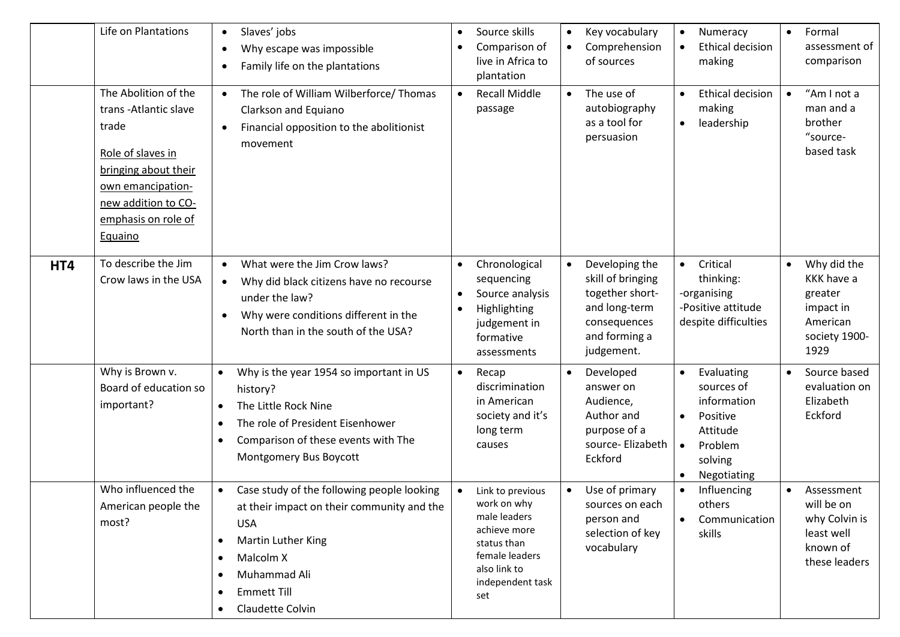|     | Life on Plantations                                                                                                                                                              | Slaves' jobs<br>$\bullet$<br>Why escape was impossible<br>$\bullet$<br>Family life on the plantations<br>$\bullet$                                                                                                                         | $\bullet$<br>$\bullet$ | Source skills<br>Comparison of<br>live in Africa to<br>plantation                                                                           | $\bullet$<br>$\bullet$ | Key vocabulary<br>Comprehension<br>of sources                                                                          | $\bullet$                                        | Numeracy<br><b>Ethical decision</b><br>making                                                        | $\bullet$ | Formal<br>assessment of<br>comparison                                                  |
|-----|----------------------------------------------------------------------------------------------------------------------------------------------------------------------------------|--------------------------------------------------------------------------------------------------------------------------------------------------------------------------------------------------------------------------------------------|------------------------|---------------------------------------------------------------------------------------------------------------------------------------------|------------------------|------------------------------------------------------------------------------------------------------------------------|--------------------------------------------------|------------------------------------------------------------------------------------------------------|-----------|----------------------------------------------------------------------------------------|
|     | The Abolition of the<br>trans-Atlantic slave<br>trade<br>Role of slaves in<br>bringing about their<br>own emancipation-<br>new addition to CO-<br>emphasis on role of<br>Equaino | The role of William Wilberforce/ Thomas<br>Clarkson and Equiano<br>Financial opposition to the abolitionist<br>$\bullet$<br>movement                                                                                                       | $\bullet$              | <b>Recall Middle</b><br>passage                                                                                                             | $\bullet$              | The use of<br>autobiography<br>as a tool for<br>persuasion                                                             | $\bullet$<br>$\bullet$                           | <b>Ethical decision</b><br>making<br>leadership                                                      |           | "Am I not a<br>man and a<br>brother<br>"source-<br>based task                          |
| HT4 | To describe the Jim<br>Crow laws in the USA                                                                                                                                      | What were the Jim Crow laws?<br>$\bullet$<br>Why did black citizens have no recourse<br>$\bullet$<br>under the law?<br>Why were conditions different in the<br>$\bullet$<br>North than in the south of the USA?                            | $\bullet$<br>$\bullet$ | Chronological<br>sequencing<br>Source analysis<br>Highlighting<br>judgement in<br>formative<br>assessments                                  | $\bullet$              | Developing the<br>skill of bringing<br>together short-<br>and long-term<br>consequences<br>and forming a<br>judgement. | $\bullet$                                        | Critical<br>thinking:<br>-organising<br>-Positive attitude<br>despite difficulties                   | $\bullet$ | Why did the<br>KKK have a<br>greater<br>impact in<br>American<br>society 1900-<br>1929 |
|     | Why is Brown v.<br>Board of education so<br>important?                                                                                                                           | Why is the year 1954 so important in US<br>$\bullet$<br>history?<br>The Little Rock Nine<br>$\bullet$<br>The role of President Eisenhower<br>$\bullet$<br>Comparison of these events with The<br>٠<br>Montgomery Bus Boycott               | $\bullet$              | Recap<br>discrimination<br>in American<br>society and it's<br>long term<br>causes                                                           |                        | Developed<br>answer on<br>Audience,<br>Author and<br>purpose of a<br>source- Elizabeth<br>Eckford                      | $\bullet$<br>$\bullet$<br>$\bullet$<br>$\bullet$ | Evaluating<br>sources of<br>information<br>Positive<br>Attitude<br>Problem<br>solving<br>Negotiating | $\bullet$ | Source based<br>evaluation on<br>Elizabeth<br>Eckford                                  |
|     | Who influenced the<br>American people the<br>most?                                                                                                                               | Case study of the following people looking<br>$\bullet$<br>at their impact on their community and the<br><b>USA</b><br>Martin Luther King<br>$\bullet$<br>Malcolm X<br>$\bullet$<br>Muhammad Ali<br><b>Emmett Till</b><br>Claudette Colvin | $\bullet$              | Link to previous<br>work on why<br>male leaders<br>achieve more<br>status than<br>female leaders<br>also link to<br>independent task<br>set | $\bullet$              | Use of primary<br>sources on each<br>person and<br>selection of key<br>vocabulary                                      | $\bullet$<br>$\bullet$                           | Influencing<br>others<br>Communication<br>skills                                                     |           | Assessment<br>will be on<br>why Colvin is<br>least well<br>known of<br>these leaders   |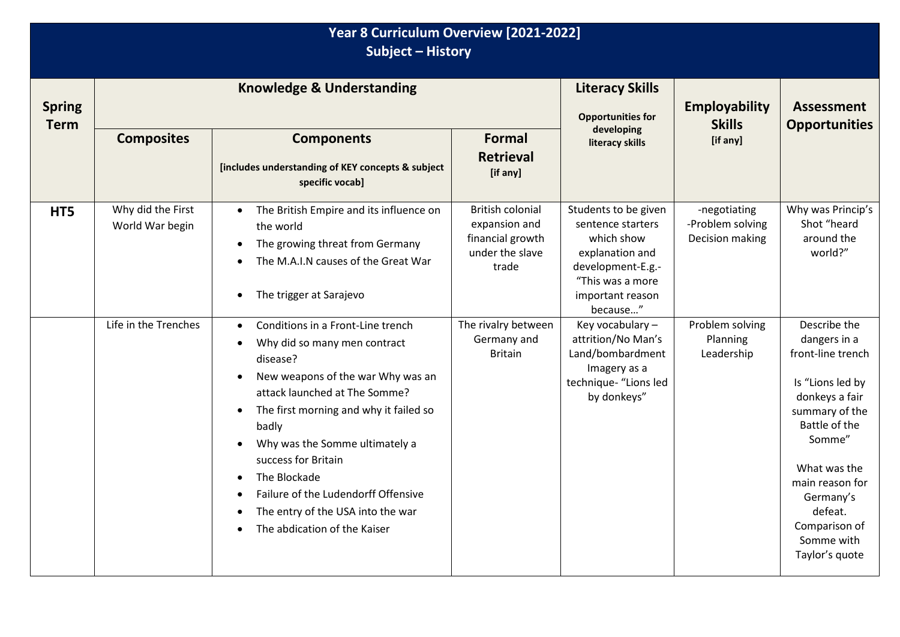| Year 8 Curriculum Overview [2021-2022]<br><b>Subject - History</b> |                                      |                                                                                                                                                                                                                                                                                                                                                                                                                                                 |                                                                                          |                                                                                                                                                     |                                                     |                                                                                                                                                                                                                                                  |  |  |  |
|--------------------------------------------------------------------|--------------------------------------|-------------------------------------------------------------------------------------------------------------------------------------------------------------------------------------------------------------------------------------------------------------------------------------------------------------------------------------------------------------------------------------------------------------------------------------------------|------------------------------------------------------------------------------------------|-----------------------------------------------------------------------------------------------------------------------------------------------------|-----------------------------------------------------|--------------------------------------------------------------------------------------------------------------------------------------------------------------------------------------------------------------------------------------------------|--|--|--|
| <b>Spring</b><br><b>Term</b>                                       |                                      | <b>Knowledge &amp; Understanding</b>                                                                                                                                                                                                                                                                                                                                                                                                            | <b>Literacy Skills</b><br><b>Opportunities for</b>                                       | Employability<br><b>Skills</b>                                                                                                                      | <b>Assessment</b><br><b>Opportunities</b>           |                                                                                                                                                                                                                                                  |  |  |  |
|                                                                    | <b>Composites</b>                    | <b>Components</b><br>[includes understanding of KEY concepts & subject<br>specific vocab]                                                                                                                                                                                                                                                                                                                                                       | <b>Formal</b><br><b>Retrieval</b><br>[if any]                                            | developing<br>literacy skills                                                                                                                       | [if any]                                            |                                                                                                                                                                                                                                                  |  |  |  |
| HT5                                                                | Why did the First<br>World War begin | The British Empire and its influence on<br>the world<br>The growing threat from Germany<br>The M.A.I.N causes of the Great War<br>The trigger at Sarajevo<br>٠                                                                                                                                                                                                                                                                                  | <b>British colonial</b><br>expansion and<br>financial growth<br>under the slave<br>trade | Students to be given<br>sentence starters<br>which show<br>explanation and<br>development-E.g.-<br>"This was a more<br>important reason<br>because" | -negotiating<br>-Problem solving<br>Decision making | Why was Princip's<br>Shot "heard<br>around the<br>world?"                                                                                                                                                                                        |  |  |  |
|                                                                    | Life in the Trenches                 | Conditions in a Front-Line trench<br>$\bullet$<br>Why did so many men contract<br>$\bullet$<br>disease?<br>New weapons of the war Why was an<br>attack launched at The Somme?<br>The first morning and why it failed so<br>$\bullet$<br>badly<br>Why was the Somme ultimately a<br>$\bullet$<br>success for Britain<br>The Blockade<br>Failure of the Ludendorff Offensive<br>The entry of the USA into the war<br>The abdication of the Kaiser | The rivalry between<br>Germany and<br><b>Britain</b>                                     | Key vocabulary -<br>attrition/No Man's<br>Land/bombardment<br>Imagery as a<br>technique- "Lions led<br>by donkeys"                                  | Problem solving<br>Planning<br>Leadership           | Describe the<br>dangers in a<br>front-line trench<br>Is "Lions led by<br>donkeys a fair<br>summary of the<br>Battle of the<br>Somme"<br>What was the<br>main reason for<br>Germany's<br>defeat.<br>Comparison of<br>Somme with<br>Taylor's quote |  |  |  |